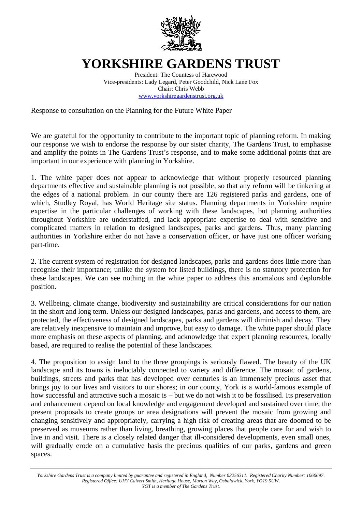

## **YORKSHIRE GARDENS TRUST**

President: The Countess of Harewood Vice-presidents: Lady Legard, Peter Goodchild, Nick Lane Fox Chair: Chris Webb [www.yorkshiregardenstrust.org.uk](http://www.yorkshiregardenstrust.org.uk/)

Response to consultation on the Planning for the Future White Paper

We are grateful for the opportunity to contribute to the important topic of planning reform. In making our response we wish to endorse the response by our sister charity, The Gardens Trust, to emphasise and amplify the points in The Gardens Trust's response, and to make some additional points that are important in our experience with planning in Yorkshire.

1. The white paper does not appear to acknowledge that without properly resourced planning departments effective and sustainable planning is not possible, so that any reform will be tinkering at the edges of a national problem. In our county there are 126 registered parks and gardens, one of which, Studley Royal, has World Heritage site status. Planning departments in Yorkshire require expertise in the particular challenges of working with these landscapes, but planning authorities throughout Yorkshire are understaffed, and lack appropriate expertise to deal with sensitive and complicated matters in relation to designed landscapes, parks and gardens. Thus, many planning authorities in Yorkshire either do not have a conservation officer, or have just one officer working part-time.

2. The current system of registration for designed landscapes, parks and gardens does little more than recognise their importance; unlike the system for listed buildings, there is no statutory protection for these landscapes. We can see nothing in the white paper to address this anomalous and deplorable position.

3. Wellbeing, climate change, biodiversity and sustainability are critical considerations for our nation in the short and long term. Unless our designed landscapes, parks and gardens, and access to them, are protected, the effectiveness of designed landscapes, parks and gardens will diminish and decay. They are relatively inexpensive to maintain and improve, but easy to damage. The white paper should place more emphasis on these aspects of planning, and acknowledge that expert planning resources, locally based, are required to realise the potential of these landscapes.

4. The proposition to assign land to the three groupings is seriously flawed. The beauty of the UK landscape and its towns is ineluctably connected to variety and difference. The mosaic of gardens, buildings, streets and parks that has developed over centuries is an immensely precious asset that brings joy to our lives and visitors to our shores; in our county, York is a world-famous example of how successful and attractive such a mosaic is – but we do not wish it to be fossilised. Its preservation and enhancement depend on local knowledge and engagement developed and sustained over time; the present proposals to create groups or area designations will prevent the mosaic from growing and changing sensitively and appropriately, carrying a high risk of creating areas that are doomed to be preserved as museums rather than living, breathing, growing places that people care for and wish to live in and visit. There is a closely related danger that ill-considered developments, even small ones, will gradually erode on a cumulative basis the precious qualities of our parks, gardens and green spaces.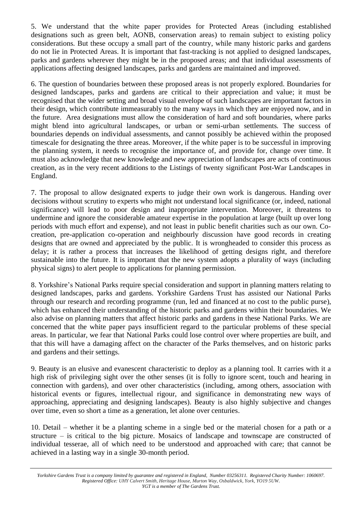5. We understand that the white paper provides for Protected Areas (including established designations such as green belt, AONB, conservation areas) to remain subject to existing policy considerations. But these occupy a small part of the country, while many historic parks and gardens do not lie in Protected Areas. It is important that fast-tracking is not applied to designed landscapes, parks and gardens wherever they might be in the proposed areas; and that individual assessments of applications affecting designed landscapes, parks and gardens are maintained and improved.

6. The question of boundaries between these proposed areas is not properly explored. Boundaries for designed landscapes, parks and gardens are critical to their appreciation and value; it must be recognised that the wider setting and broad visual envelope of such landscapes are important factors in their design, which contribute immeasurably to the many ways in which they are enjoyed now, and in the future. Area designations must allow the consideration of hard and soft boundaries, where parks might blend into agricultural landscapes, or urban or semi-urban settlements. The success of boundaries depends on individual assessments, and cannot possibly be achieved within the proposed timescale for designating the three areas. Moreover, if the white paper is to be successful in improving the planning system, it needs to recognise the importance of, and provide for, change over time. It must also acknowledge that new knowledge and new appreciation of landscapes are acts of continuous creation, as in the very recent additions to the Listings of twenty significant Post-War Landscapes in England.

7. The proposal to allow designated experts to judge their own work is dangerous. Handing over decisions without scrutiny to experts who might not understand local significance (or, indeed, national significance) will lead to poor design and inappropriate intervention. Moreover, it threatens to undermine and ignore the considerable amateur expertise in the population at large (built up over long periods with much effort and expense), and not least in public benefit charities such as our own. Cocreation, pre-application co-operation and neighbourly discussion have good records in creating designs that are owned and appreciated by the public. It is wrongheaded to consider this process as delay; it is rather a process that increases the likelihood of getting designs right, and therefore sustainable into the future. It is important that the new system adopts a plurality of ways (including physical signs) to alert people to applications for planning permission.

8. Yorkshire's National Parks require special consideration and support in planning matters relating to designed landscapes, parks and gardens. Yorkshire Gardens Trust has assisted our National Parks through our research and recording programme (run, led and financed at no cost to the public purse), which has enhanced their understanding of the historic parks and gardens within their boundaries. We also advise on planning matters that affect historic parks and gardens in these National Parks. We are concerned that the white paper pays insufficient regard to the particular problems of these special areas. In particular, we fear that National Parks could lose control over where properties are built, and that this will have a damaging affect on the character of the Parks themselves, and on historic parks and gardens and their settings.

9. Beauty is an elusive and evanescent characteristic to deploy as a planning tool. It carries with it a high risk of privileging sight over the other senses (it is folly to ignore scent, touch and hearing in connection with gardens), and over other characteristics (including, among others, association with historical events or figures, intellectual rigour, and significance in demonstrating new ways of approaching, appreciating and designing landscapes). Beauty is also highly subjective and changes over time, even so short a time as a generation, let alone over centuries.

10. Detail – whether it be a planting scheme in a single bed or the material chosen for a path or a structure – is critical to the big picture. Mosaics of landscape and townscape are constructed of individual tesserae, all of which need to be understood and approached with care; that cannot be achieved in a lasting way in a single 30-month period.